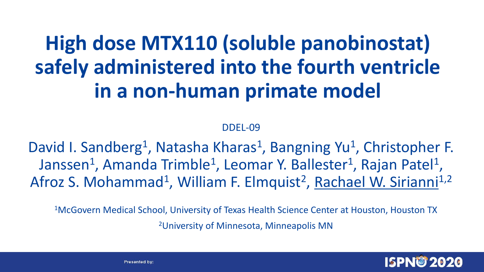### **High dose MTX110 (soluble panobinostat) safely administered into the fourth ventricle in a non-human primate model**

#### DDEL-09

David I. Sandberg<sup>1</sup>, Natasha Kharas<sup>1</sup>, Bangning Yu<sup>1</sup>, Christopher F. Janssen<sup>1</sup>, Amanda Trimble<sup>1</sup>, Leomar Y. Ballester<sup>1</sup>, Rajan Patel<sup>1</sup>, Afroz S. Mohammad<sup>1</sup>, William F. Elmquist<sup>2</sup>, Rachael W. Sirianni<sup>1,2</sup>

<sup>1</sup>McGovern Medical School, University of Texas Health Science Center at Houston, Houston TX

2University of Minnesota, Minneapolis MN

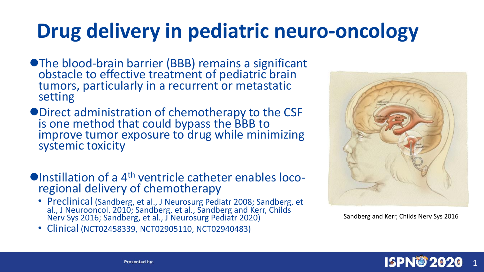### **Drug delivery in pediatric neuro-oncology**

- ⚫The blood-brain barrier (BBB) remains a significant obstacle to effective treatment of pediatric brain tumors, particularly in a recurrent or metastatic setting
- ⚫Direct administration of chemotherapy to the CSF is one method that could bypass the BBB to improve tumor exposure to drug while minimizing systemic toxicity
- ●Instillation of a 4<sup>th</sup> ventricle catheter enables locoregional delivery of chemotherapy
	- Preclinical (Sandberg, et al., J Neurosurg Pediatr 2008; Sandberg, et al., J Neurooncol. 2010; Sandberg, et al., Sandberg and Kerr, Childs Nerv Sys 2016; Sandberg, et al., J Neurosurg Pediatr 2020)
	- Clinical (NCT02458339, NCT02905110, NCT02940483)



Sandberg and Kerr, Childs Nerv Sys 2016

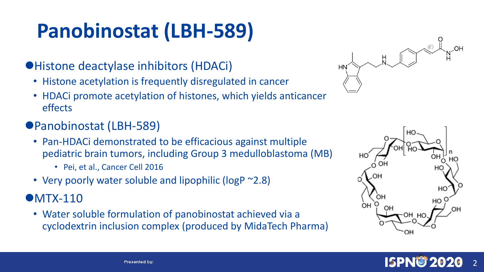## **Panobinostat (LBH-589)**

#### ⚫Histone deactylase inhibitors (HDACi)

- Histone acetylation is frequently disregulated in cancer
- HDACi promote acetylation of histones, which yields anticancer effects
- ●Panobinostat (LBH-589)
	- Pan-HDACi demonstrated to be efficacious against multiple pediatric brain tumors, including Group 3 medulloblastoma (MB)
		- Pei, et al., Cancer Cell 2016
	- Very poorly water soluble and lipophilic (logP ~2.8)

#### ●MTX-110

• Water soluble formulation of panobinostat achieved via a cyclodextrin inclusion complex (produced by MidaTech Pharma)





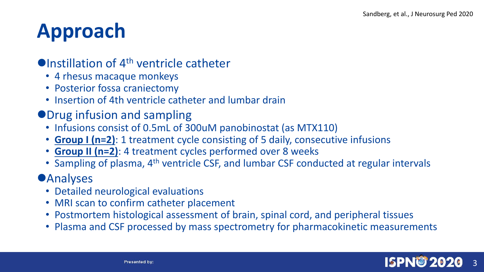### **Approach**

#### $\bullet$ Instillation of 4<sup>th</sup> ventricle catheter

- 4 rhesus macaque monkeys
- Posterior fossa craniectomy
- Insertion of 4th ventricle catheter and lumbar drain
- ⚫Drug infusion and sampling
	- Infusions consist of 0.5mL of 300uM panobinostat (as MTX110)
	- **Group I (n=2)**: 1 treatment cycle consisting of 5 daily, consecutive infusions
	- **Group II (n=2)**: 4 treatment cycles performed over 8 weeks
	- Sampling of plasma, 4<sup>th</sup> ventricle CSF, and lumbar CSF conducted at regular intervals

#### **•Analyses**

- Detailed neurological evaluations
- MRI scan to confirm catheter placement
- Postmortem histological assessment of brain, spinal cord, and peripheral tissues
- Plasma and CSF processed by mass spectrometry for pharmacokinetic measurements

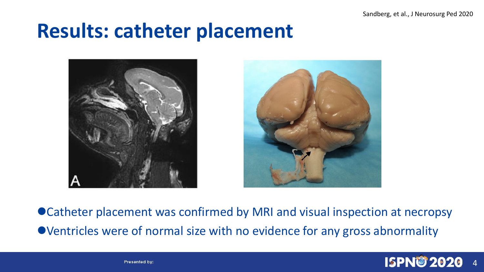Sandberg, et al., J Neurosurg Ped 2020

### **Results: catheter placement**



● Catheter placement was confirmed by MRI and visual inspection at necropsy ⚫Ventricles were of normal size with no evidence for any gross abnormality



**Presented by:**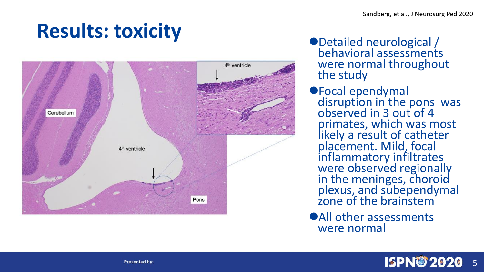# **Results: toxicity**



- ⚫Detailed neurological / behavioral assessments were normal throughout the study
- ⚫Focal ependymal disruption in the pons was observed in 3 out of 4 primates, which was most likely a result of catheter placement. Mild, focal inflammatory infiltrates were observed regionally in the meninges, choroid plexus, and subependymal zone of the brainstem
- ⚫All other assessments were normal

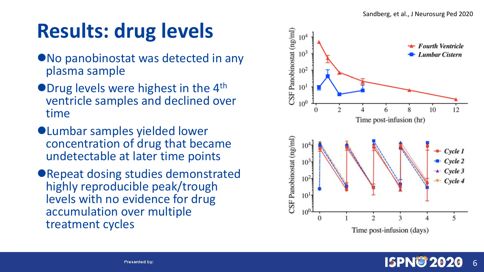### **Results: drug levels**

- ⚫No panobinostat was detected in any plasma sample
- ●Drug levels were highest in the 4<sup>th</sup> ventricle samples and declined over time
- ⚫Lumbar samples yielded lower concentration of drug that became undetectable at later time points
- ⚫Repeat dosing studies demonstrated highly reproducible peak/trough levels with no evidence for drug accumulation over multiple treatment cycles

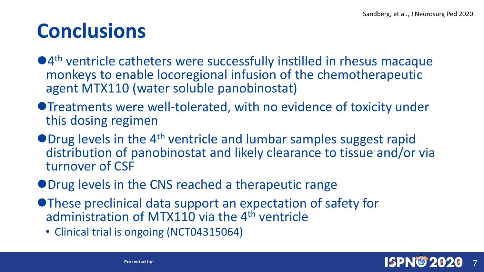### **Conclusions**

- ●4<sup>th</sup> ventricle catheters were successfully instilled in rhesus macaque monkeys to enable locoregional infusion of the chemotherapeutic agent MTX110 (water soluble panobinostat)
- ⚫Treatments were well-tolerated, with no evidence of toxicity under this dosing regimen
- ●Drug levels in the 4<sup>th</sup> ventricle and lumbar samples suggest rapid distribution of panobinostat and likely clearance to tissue and/or via turnover of CSF
- ⚫Drug levels in the CNS reached a therapeutic range
- ⚫These preclinical data support an expectation of safety for administration of MTX110 via the 4<sup>th</sup> ventricle
	- Clinical trial is ongoing (NCT04315064)